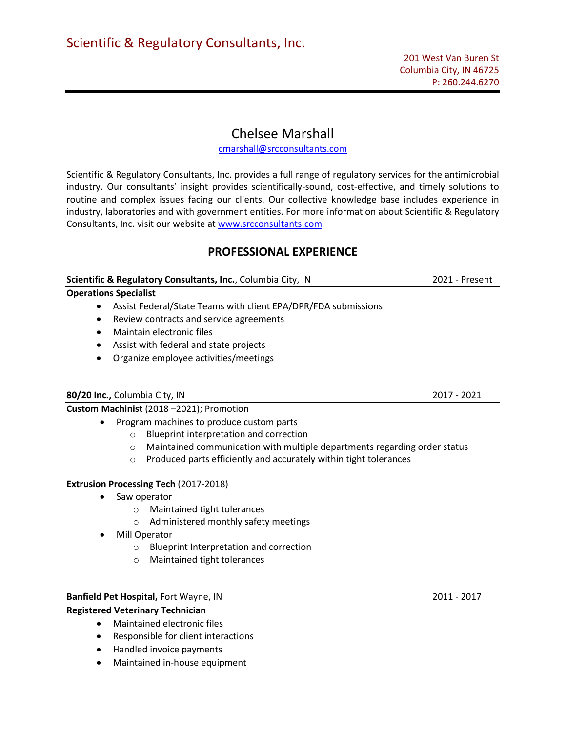# Chelsee Marshall

[cmarshall@srcconsultants.com](mailto:cmarshall@srcconsultants.com)

Scientific & Regulatory Consultants, Inc. provides a full range of regulatory services for the antimicrobial industry. Our consultants' insight provides scientifically-sound, cost-effective, and timely solutions to routine and complex issues facing our clients. Our collective knowledge base includes experience in industry, laboratories and with government entities. For more information about Scientific & Regulatory Consultants, Inc. visit our website at [www.srcconsultants.com](http://www.srcconsultants.com/)

# **PROFESSIONAL EXPERIENCE**

#### **Scientific & Regulatory Consultants, Inc.**, Columbia City, IN 2021 - Present

#### **Operations Specialist**

- Assist Federal/State Teams with client EPA/DPR/FDA submissions
- Review contracts and service agreements
- Maintain electronic files
- Assist with federal and state projects
- Organize employee activities/meetings

#### **80/20 Inc.,** Columbia City, IN 2017 - 2021

**Custom Machinist** (2018 –2021); Promotion

- Program machines to produce custom parts
	- o Blueprint interpretation and correction
	- o Maintained communication with multiple departments regarding order status
	- o Produced parts efficiently and accurately within tight tolerances

#### **Extrusion Processing Tech** (2017-2018)

- Saw operator
	- o Maintained tight tolerances
	- o Administered monthly safety meetings
- Mill Operator
	- o Blueprint Interpretation and correction
	- o Maintained tight tolerances

#### **Banfield Pet Hospital, Fort Wayne, IN 2017 2017 2017**

#### **Registered Veterinary Technician**

- Maintained electronic files
- Responsible for client interactions
- Handled invoice payments
- Maintained in-house equipment